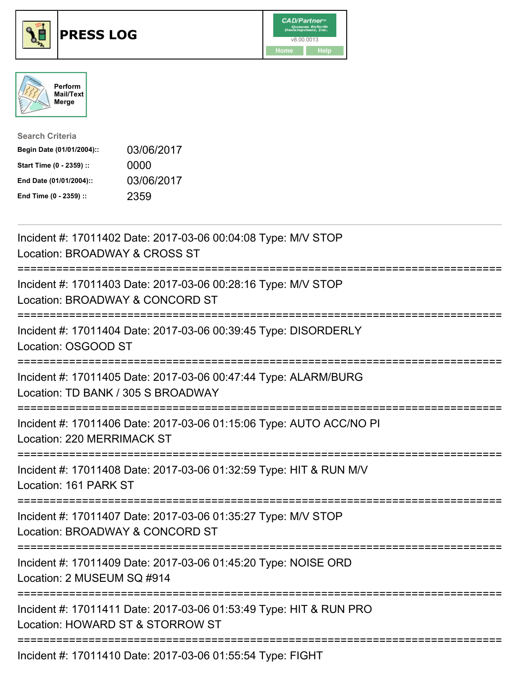

## **PRESS LOG** v8.00.0013





| <b>Search Criteria</b>    |            |
|---------------------------|------------|
| Begin Date (01/01/2004):: | 03/06/2017 |
| Start Time (0 - 2359) ::  | 0000       |
| End Date (01/01/2004)::   | 03/06/2017 |
| End Time (0 - 2359) ::    | 2359       |

Incident #: 17011402 Date: 2017-03-06 00:04:08 Type: M/V STOP Location: BROADWAY & CROSS ST =========================================================================== Incident #: 17011403 Date: 2017-03-06 00:28:16 Type: M/V STOP Location: BROADWAY & CONCORD ST =========================================================================== Incident #: 17011404 Date: 2017-03-06 00:39:45 Type: DISORDERLY Location: OSGOOD ST =========================================================================== Incident #: 17011405 Date: 2017-03-06 00:47:44 Type: ALARM/BURG Location: TD BANK / 305 S BROADWAY =========================================================================== Incident #: 17011406 Date: 2017-03-06 01:15:06 Type: AUTO ACC/NO PI Location: 220 MERRIMACK ST =========================================================================== Incident #: 17011408 Date: 2017-03-06 01:32:59 Type: HIT & RUN M/V Location: 161 PARK ST =========================================================================== Incident #: 17011407 Date: 2017-03-06 01:35:27 Type: M/V STOP Location: BROADWAY & CONCORD ST =========================================================================== Incident #: 17011409 Date: 2017-03-06 01:45:20 Type: NOISE ORD Location: 2 MUSEUM SQ #914 =========================================================================== Incident #: 17011411 Date: 2017-03-06 01:53:49 Type: HIT & RUN PRO Location: HOWARD ST & STORROW ST =========================================================================== Incident #: 17011410 Date: 2017-03-06 01:55:54 Type: FIGHT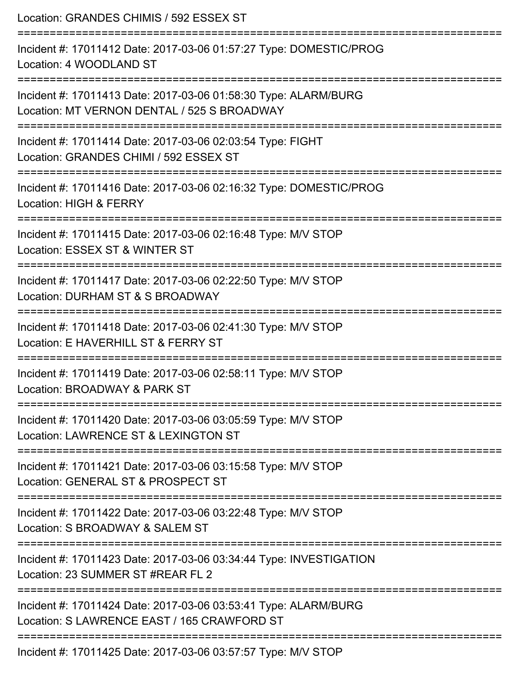| Location: GRANDES CHIMIS / 592 ESSEX ST                                                                                                                  |
|----------------------------------------------------------------------------------------------------------------------------------------------------------|
| Incident #: 17011412 Date: 2017-03-06 01:57:27 Type: DOMESTIC/PROG<br>Location: 4 WOODLAND ST                                                            |
| Incident #: 17011413 Date: 2017-03-06 01:58:30 Type: ALARM/BURG<br>Location: MT VERNON DENTAL / 525 S BROADWAY<br>______________________________________ |
| Incident #: 17011414 Date: 2017-03-06 02:03:54 Type: FIGHT<br>Location: GRANDES CHIMI / 592 ESSEX ST                                                     |
| Incident #: 17011416 Date: 2017-03-06 02:16:32 Type: DOMESTIC/PROG<br>Location: HIGH & FERRY                                                             |
| Incident #: 17011415 Date: 2017-03-06 02:16:48 Type: M/V STOP<br>Location: ESSEX ST & WINTER ST                                                          |
| Incident #: 17011417 Date: 2017-03-06 02:22:50 Type: M/V STOP<br>Location: DURHAM ST & S BROADWAY                                                        |
| Incident #: 17011418 Date: 2017-03-06 02:41:30 Type: M/V STOP<br>Location: E HAVERHILL ST & FERRY ST                                                     |
| Incident #: 17011419 Date: 2017-03-06 02:58:11 Type: M/V STOP<br>Location: BROADWAY & PARK ST                                                            |
| Incident #: 17011420 Date: 2017-03-06 03:05:59 Type: M/V STOP<br>Location: LAWRENCE ST & LEXINGTON ST                                                    |
| Incident #: 17011421 Date: 2017-03-06 03:15:58 Type: M/V STOP<br>Location: GENERAL ST & PROSPECT ST                                                      |
| Incident #: 17011422 Date: 2017-03-06 03:22:48 Type: M/V STOP<br>Location: S BROADWAY & SALEM ST                                                         |
| Incident #: 17011423 Date: 2017-03-06 03:34:44 Type: INVESTIGATION<br>Location: 23 SUMMER ST #REAR FL 2                                                  |
| Incident #: 17011424 Date: 2017-03-06 03:53:41 Type: ALARM/BURG<br>Location: S LAWRENCE EAST / 165 CRAWFORD ST                                           |
| Incident #: 17011425 Date: 2017-03-06 03:57:57 Type: M/V STOP                                                                                            |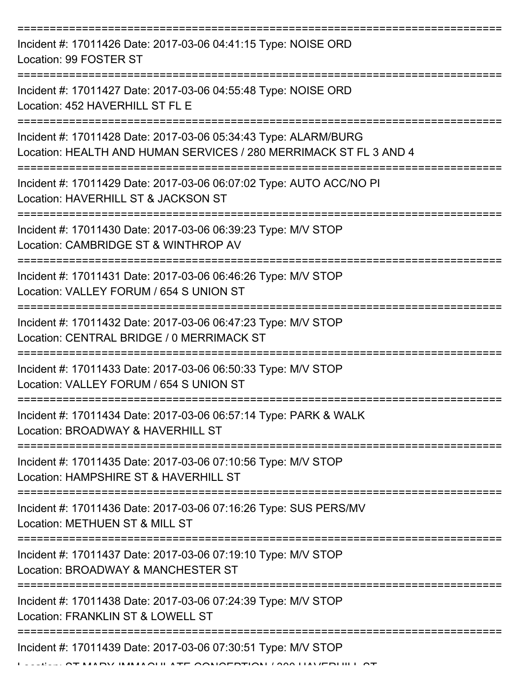| Incident #: 17011426 Date: 2017-03-06 04:41:15 Type: NOISE ORD<br>Location: 99 FOSTER ST                                             |
|--------------------------------------------------------------------------------------------------------------------------------------|
| Incident #: 17011427 Date: 2017-03-06 04:55:48 Type: NOISE ORD<br>Location: 452 HAVERHILL ST FL E                                    |
| Incident #: 17011428 Date: 2017-03-06 05:34:43 Type: ALARM/BURG<br>Location: HEALTH AND HUMAN SERVICES / 280 MERRIMACK ST FL 3 AND 4 |
| Incident #: 17011429 Date: 2017-03-06 06:07:02 Type: AUTO ACC/NO PI<br>Location: HAVERHILL ST & JACKSON ST                           |
| Incident #: 17011430 Date: 2017-03-06 06:39:23 Type: M/V STOP<br>Location: CAMBRIDGE ST & WINTHROP AV                                |
| Incident #: 17011431 Date: 2017-03-06 06:46:26 Type: M/V STOP<br>Location: VALLEY FORUM / 654 S UNION ST                             |
| Incident #: 17011432 Date: 2017-03-06 06:47:23 Type: M/V STOP<br>Location: CENTRAL BRIDGE / 0 MERRIMACK ST                           |
| Incident #: 17011433 Date: 2017-03-06 06:50:33 Type: M/V STOP<br>Location: VALLEY FORUM / 654 S UNION ST                             |
| Incident #: 17011434 Date: 2017-03-06 06:57:14 Type: PARK & WALK<br>Location: BROADWAY & HAVERHILL ST                                |
| Incident #: 17011435 Date: 2017-03-06 07:10:56 Type: M/V STOP<br>Location: HAMPSHIRE ST & HAVERHILL ST                               |
| Incident #: 17011436 Date: 2017-03-06 07:16:26 Type: SUS PERS/MV<br>Location: METHUEN ST & MILL ST                                   |
| Incident #: 17011437 Date: 2017-03-06 07:19:10 Type: M/V STOP<br>Location: BROADWAY & MANCHESTER ST                                  |
| Incident #: 17011438 Date: 2017-03-06 07:24:39 Type: M/V STOP<br>Location: FRANKLIN ST & LOWELL ST                                   |
| Incident #: 17011439 Date: 2017-03-06 07:30:51 Type: M/V STOP                                                                        |

AT MARY IMMACULATE CONCERTION / 300 HAVERHILL ST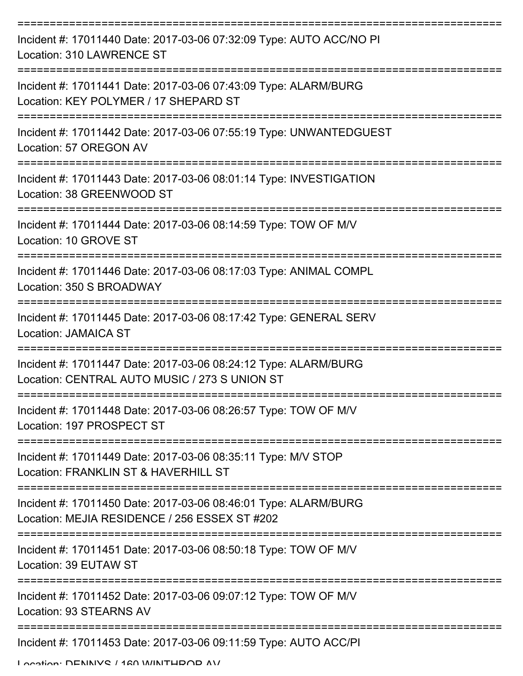| Incident #: 17011440 Date: 2017-03-06 07:32:09 Type: AUTO ACC/NO PI<br>Location: 310 LAWRENCE ST                 |
|------------------------------------------------------------------------------------------------------------------|
| Incident #: 17011441 Date: 2017-03-06 07:43:09 Type: ALARM/BURG<br>Location: KEY POLYMER / 17 SHEPARD ST         |
| Incident #: 17011442 Date: 2017-03-06 07:55:19 Type: UNWANTEDGUEST<br>Location: 57 OREGON AV                     |
| Incident #: 17011443 Date: 2017-03-06 08:01:14 Type: INVESTIGATION<br>Location: 38 GREENWOOD ST                  |
| Incident #: 17011444 Date: 2017-03-06 08:14:59 Type: TOW OF M/V<br>Location: 10 GROVE ST                         |
| Incident #: 17011446 Date: 2017-03-06 08:17:03 Type: ANIMAL COMPL<br>Location: 350 S BROADWAY                    |
| Incident #: 17011445 Date: 2017-03-06 08:17:42 Type: GENERAL SERV<br><b>Location: JAMAICA ST</b>                 |
| Incident #: 17011447 Date: 2017-03-06 08:24:12 Type: ALARM/BURG<br>Location: CENTRAL AUTO MUSIC / 273 S UNION ST |
| Incident #: 17011448 Date: 2017-03-06 08:26:57 Type: TOW OF M/V<br>Location: 197 PROSPECT ST                     |
| Incident #: 17011449 Date: 2017-03-06 08:35:11 Type: M/V STOP<br>Location: FRANKLIN ST & HAVERHILL ST            |
| Incident #: 17011450 Date: 2017-03-06 08:46:01 Type: ALARM/BURG<br>Location: MEJIA RESIDENCE / 256 ESSEX ST #202 |
| Incident #: 17011451 Date: 2017-03-06 08:50:18 Type: TOW OF M/V<br>Location: 39 EUTAW ST                         |
| Incident #: 17011452 Date: 2017-03-06 09:07:12 Type: TOW OF M/V<br>Location: 93 STEARNS AV                       |
| Incident #: 17011453 Date: 2017-03-06 09:11:59 Type: AUTO ACC/PI<br>I ocation: DENINIVO / 120 M/INITUDOD AV/     |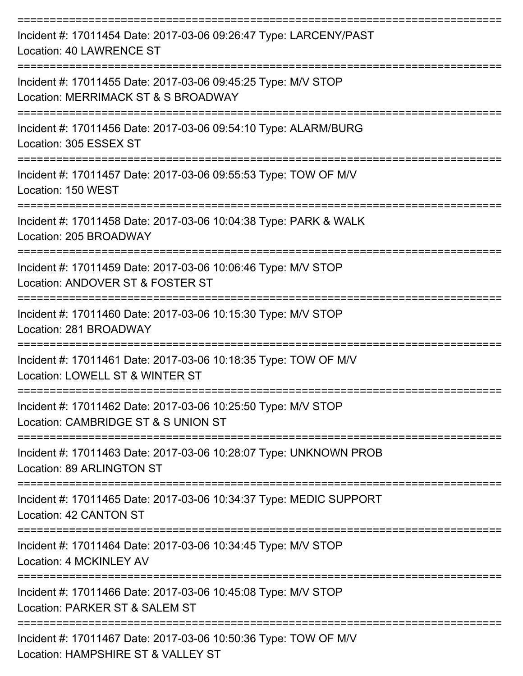| Incident #: 17011454 Date: 2017-03-06 09:26:47 Type: LARCENY/PAST<br><b>Location: 40 LAWRENCE ST</b>                  |
|-----------------------------------------------------------------------------------------------------------------------|
| Incident #: 17011455 Date: 2017-03-06 09:45:25 Type: M/V STOP<br>Location: MERRIMACK ST & S BROADWAY<br>------------- |
| Incident #: 17011456 Date: 2017-03-06 09:54:10 Type: ALARM/BURG<br>Location: 305 ESSEX ST                             |
| Incident #: 17011457 Date: 2017-03-06 09:55:53 Type: TOW OF M/V<br>Location: 150 WEST                                 |
| Incident #: 17011458 Date: 2017-03-06 10:04:38 Type: PARK & WALK<br>Location: 205 BROADWAY                            |
| Incident #: 17011459 Date: 2017-03-06 10:06:46 Type: M/V STOP<br>Location: ANDOVER ST & FOSTER ST                     |
| Incident #: 17011460 Date: 2017-03-06 10:15:30 Type: M/V STOP<br>Location: 281 BROADWAY                               |
| Incident #: 17011461 Date: 2017-03-06 10:18:35 Type: TOW OF M/V<br>Location: LOWELL ST & WINTER ST                    |
| Incident #: 17011462 Date: 2017-03-06 10:25:50 Type: M/V STOP<br>Location: CAMBRIDGE ST & S UNION ST                  |
| Incident #: 17011463 Date: 2017-03-06 10:28:07 Type: UNKNOWN PROB<br><b>Location: 89 ARLINGTON ST</b>                 |
| Incident #: 17011465 Date: 2017-03-06 10:34:37 Type: MEDIC SUPPORT<br>Location: 42 CANTON ST                          |
| Incident #: 17011464 Date: 2017-03-06 10:34:45 Type: M/V STOP<br>Location: 4 MCKINLEY AV                              |
| Incident #: 17011466 Date: 2017-03-06 10:45:08 Type: M/V STOP<br>Location: PARKER ST & SALEM ST                       |
| Incident #: 17011467 Date: 2017-03-06 10:50:36 Type: TOW OF M/V<br>Location: HAMPSHIRE ST & VALLEY ST                 |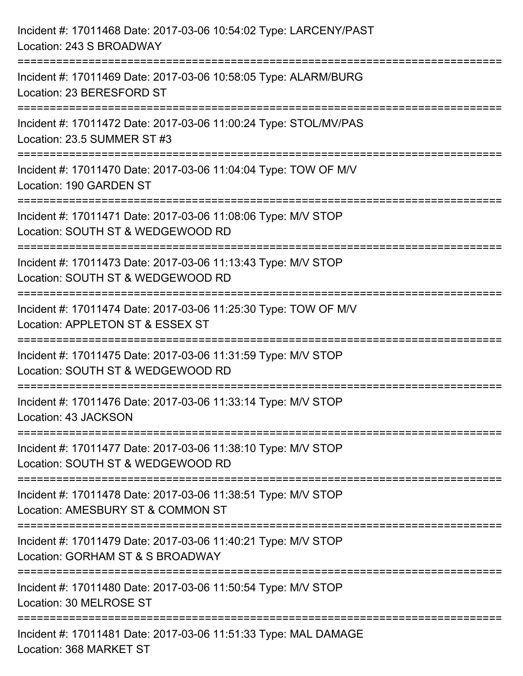| Incident #: 17011468 Date: 2017-03-06 10:54:02 Type: LARCENY/PAST<br>Location: 243 S BROADWAY                                                                |
|--------------------------------------------------------------------------------------------------------------------------------------------------------------|
| ===================================<br>Incident #: 17011469 Date: 2017-03-06 10:58:05 Type: ALARM/BURG<br>Location: 23 BERESFORD ST                          |
| Incident #: 17011472 Date: 2017-03-06 11:00:24 Type: STOL/MV/PAS<br>Location: 23.5 SUMMER ST #3<br>====================================<br>================= |
| Incident #: 17011470 Date: 2017-03-06 11:04:04 Type: TOW OF M/V<br>Location: 190 GARDEN ST<br>.----------------------------------                            |
| Incident #: 17011471 Date: 2017-03-06 11:08:06 Type: M/V STOP<br>Location: SOUTH ST & WEDGEWOOD RD                                                           |
| Incident #: 17011473 Date: 2017-03-06 11:13:43 Type: M/V STOP<br>Location: SOUTH ST & WEDGEWOOD RD                                                           |
| Incident #: 17011474 Date: 2017-03-06 11:25:30 Type: TOW OF M/V<br>Location: APPLETON ST & ESSEX ST                                                          |
| Incident #: 17011475 Date: 2017-03-06 11:31:59 Type: M/V STOP<br>Location: SOUTH ST & WEDGEWOOD RD                                                           |
| Incident #: 17011476 Date: 2017-03-06 11:33:14 Type: M/V STOP<br>Location: 43 JACKSON                                                                        |
| Incident #: 17011477 Date: 2017-03-06 11:38:10 Type: M/V STOP<br>Location: SOUTH ST & WEDGEWOOD RD                                                           |
| Incident #: 17011478 Date: 2017-03-06 11:38:51 Type: M/V STOP<br>Location: AMESBURY ST & COMMON ST                                                           |
| Incident #: 17011479 Date: 2017-03-06 11:40:21 Type: M/V STOP<br>Location: GORHAM ST & S BROADWAY                                                            |
| Incident #: 17011480 Date: 2017-03-06 11:50:54 Type: M/V STOP<br>Location: 30 MELROSE ST                                                                     |
| Incident #: 17011481 Date: 2017-03-06 11:51:33 Type: MAL DAMAGE<br>Location: 368 MARKET ST                                                                   |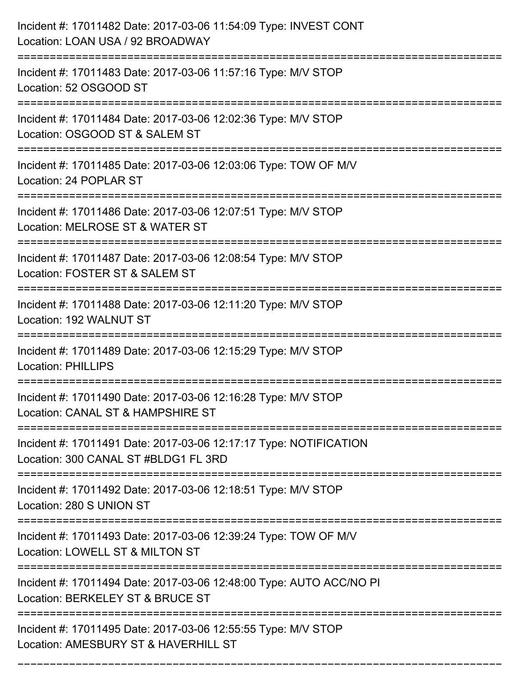| Incident #: 17011482 Date: 2017-03-06 11:54:09 Type: INVEST CONT<br>Location: LOAN USA / 92 BROADWAY                             |
|----------------------------------------------------------------------------------------------------------------------------------|
| Incident #: 17011483 Date: 2017-03-06 11:57:16 Type: M/V STOP<br>Location: 52 OSGOOD ST                                          |
| Incident #: 17011484 Date: 2017-03-06 12:02:36 Type: M/V STOP<br>Location: OSGOOD ST & SALEM ST<br>:======================       |
| Incident #: 17011485 Date: 2017-03-06 12:03:06 Type: TOW OF M/V<br>Location: 24 POPLAR ST                                        |
| Incident #: 17011486 Date: 2017-03-06 12:07:51 Type: M/V STOP<br>Location: MELROSE ST & WATER ST<br>:=========================== |
| Incident #: 17011487 Date: 2017-03-06 12:08:54 Type: M/V STOP<br>Location: FOSTER ST & SALEM ST                                  |
| Incident #: 17011488 Date: 2017-03-06 12:11:20 Type: M/V STOP<br>Location: 192 WALNUT ST                                         |
| Incident #: 17011489 Date: 2017-03-06 12:15:29 Type: M/V STOP<br><b>Location: PHILLIPS</b>                                       |
| Incident #: 17011490 Date: 2017-03-06 12:16:28 Type: M/V STOP<br>Location: CANAL ST & HAMPSHIRE ST                               |
| Incident #: 17011491 Date: 2017-03-06 12:17:17 Type: NOTIFICATION<br>Location: 300 CANAL ST #BLDG1 FL 3RD                        |
| Incident #: 17011492 Date: 2017-03-06 12:18:51 Type: M/V STOP<br>Location: 280 S UNION ST                                        |
| Incident #: 17011493 Date: 2017-03-06 12:39:24 Type: TOW OF M/V<br>Location: LOWELL ST & MILTON ST                               |
| Incident #: 17011494 Date: 2017-03-06 12:48:00 Type: AUTO ACC/NO PI<br>Location: BERKELEY ST & BRUCE ST                          |
| Incident #: 17011495 Date: 2017-03-06 12:55:55 Type: M/V STOP<br>Location: AMESBURY ST & HAVERHILL ST                            |

===========================================================================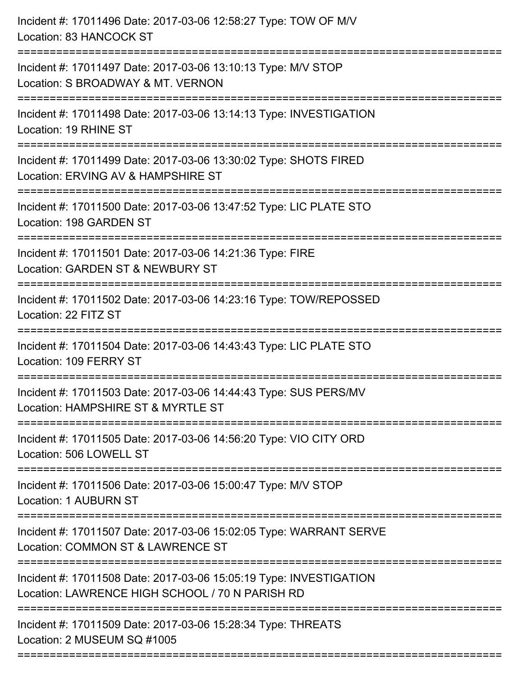| Location: GARDEN ST & NEWBURY ST<br>Location: 109 FERRY ST<br>=============================<br>Location: 1 AUBURN ST<br>Location: LAWRENCE HIGH SCHOOL / 70 N PARISH RD | Incident #: 17011496 Date: 2017-03-06 12:58:27 Type: TOW OF M/V<br>Location: 83 HANCOCK ST              |
|-------------------------------------------------------------------------------------------------------------------------------------------------------------------------|---------------------------------------------------------------------------------------------------------|
|                                                                                                                                                                         | Incident #: 17011497 Date: 2017-03-06 13:10:13 Type: M/V STOP<br>Location: S BROADWAY & MT. VERNON      |
|                                                                                                                                                                         | Incident #: 17011498 Date: 2017-03-06 13:14:13 Type: INVESTIGATION<br>Location: 19 RHINE ST             |
|                                                                                                                                                                         | Incident #: 17011499 Date: 2017-03-06 13:30:02 Type: SHOTS FIRED<br>Location: ERVING AV & HAMPSHIRE ST  |
|                                                                                                                                                                         | Incident #: 17011500 Date: 2017-03-06 13:47:52 Type: LIC PLATE STO<br>Location: 198 GARDEN ST           |
|                                                                                                                                                                         | Incident #: 17011501 Date: 2017-03-06 14:21:36 Type: FIRE                                               |
|                                                                                                                                                                         | Incident #: 17011502 Date: 2017-03-06 14:23:16 Type: TOW/REPOSSED<br>Location: 22 FITZ ST               |
|                                                                                                                                                                         | Incident #: 17011504 Date: 2017-03-06 14:43:43 Type: LIC PLATE STO                                      |
|                                                                                                                                                                         | Incident #: 17011503 Date: 2017-03-06 14:44:43 Type: SUS PERS/MV<br>Location: HAMPSHIRE ST & MYRTLE ST  |
|                                                                                                                                                                         | Incident #: 17011505 Date: 2017-03-06 14:56:20 Type: VIO CITY ORD<br>Location: 506 LOWELL ST            |
|                                                                                                                                                                         | Incident #: 17011506 Date: 2017-03-06 15:00:47 Type: M/V STOP                                           |
|                                                                                                                                                                         | Incident #: 17011507 Date: 2017-03-06 15:02:05 Type: WARRANT SERVE<br>Location: COMMON ST & LAWRENCE ST |
|                                                                                                                                                                         | Incident #: 17011508 Date: 2017-03-06 15:05:19 Type: INVESTIGATION                                      |
|                                                                                                                                                                         | Incident #: 17011509 Date: 2017-03-06 15:28:34 Type: THREATS<br>Location: 2 MUSEUM SQ #1005             |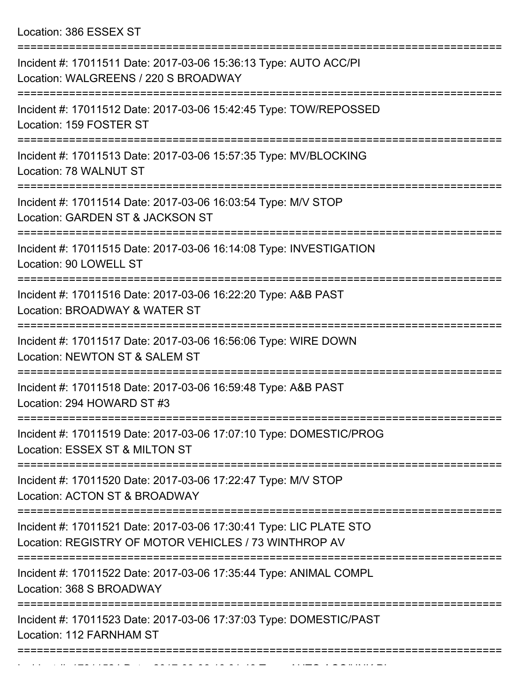Location: 386 ESSEX ST

| Incident #: 17011511 Date: 2017-03-06 15:36:13 Type: AUTO ACC/PI<br>Location: WALGREENS / 220 S BROADWAY                    |
|-----------------------------------------------------------------------------------------------------------------------------|
| Incident #: 17011512 Date: 2017-03-06 15:42:45 Type: TOW/REPOSSED<br>Location: 159 FOSTER ST                                |
| Incident #: 17011513 Date: 2017-03-06 15:57:35 Type: MV/BLOCKING<br>Location: 78 WALNUT ST                                  |
| Incident #: 17011514 Date: 2017-03-06 16:03:54 Type: M/V STOP<br>Location: GARDEN ST & JACKSON ST                           |
| Incident #: 17011515 Date: 2017-03-06 16:14:08 Type: INVESTIGATION<br>Location: 90 LOWELL ST                                |
| Incident #: 17011516 Date: 2017-03-06 16:22:20 Type: A&B PAST<br>Location: BROADWAY & WATER ST                              |
| Incident #: 17011517 Date: 2017-03-06 16:56:06 Type: WIRE DOWN<br>Location: NEWTON ST & SALEM ST                            |
| Incident #: 17011518 Date: 2017-03-06 16:59:48 Type: A&B PAST<br>Location: 294 HOWARD ST #3                                 |
| Incident #: 17011519 Date: 2017-03-06 17:07:10 Type: DOMESTIC/PROG<br>Location: ESSEX ST & MILTON ST                        |
| Incident #: 17011520 Date: 2017-03-06 17:22:47 Type: M/V STOP<br>Location: ACTON ST & BROADWAY                              |
| Incident #: 17011521 Date: 2017-03-06 17:30:41 Type: LIC PLATE STO<br>Location: REGISTRY OF MOTOR VEHICLES / 73 WINTHROP AV |
| Incident #: 17011522 Date: 2017-03-06 17:35:44 Type: ANIMAL COMPL<br>Location: 368 S BROADWAY                               |
| Incident #: 17011523 Date: 2017-03-06 17:37:03 Type: DOMESTIC/PAST<br>Location: 112 FARNHAM ST                              |
|                                                                                                                             |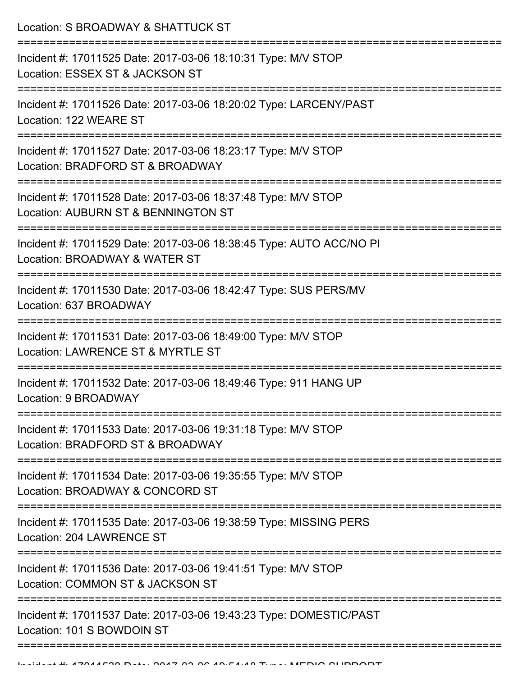Location: S BROADWAY & SHATTUCK ST

| Incident #: 17011525 Date: 2017-03-06 18:10:31 Type: M/V STOP<br>Location: ESSEX ST & JACKSON ST     |
|------------------------------------------------------------------------------------------------------|
| Incident #: 17011526 Date: 2017-03-06 18:20:02 Type: LARCENY/PAST<br>Location: 122 WEARE ST          |
| Incident #: 17011527 Date: 2017-03-06 18:23:17 Type: M/V STOP<br>Location: BRADFORD ST & BROADWAY    |
| Incident #: 17011528 Date: 2017-03-06 18:37:48 Type: M/V STOP<br>Location: AUBURN ST & BENNINGTON ST |
| Incident #: 17011529 Date: 2017-03-06 18:38:45 Type: AUTO ACC/NO PI<br>Location: BROADWAY & WATER ST |
| Incident #: 17011530 Date: 2017-03-06 18:42:47 Type: SUS PERS/MV<br>Location: 637 BROADWAY           |
| Incident #: 17011531 Date: 2017-03-06 18:49:00 Type: M/V STOP<br>Location: LAWRENCE ST & MYRTLE ST   |
| Incident #: 17011532 Date: 2017-03-06 18:49:46 Type: 911 HANG UP<br>Location: 9 BROADWAY             |
| Incident #: 17011533 Date: 2017-03-06 19:31:18 Type: M/V STOP<br>Location: BRADFORD ST & BROADWAY    |
| Incident #: 17011534 Date: 2017-03-06 19:35:55 Type: M/V STOP<br>Location: BROADWAY & CONCORD ST     |
| Incident #: 17011535 Date: 2017-03-06 19:38:59 Type: MISSING PERS<br>Location: 204 LAWRENCE ST       |
| Incident #: 17011536 Date: 2017-03-06 19:41:51 Type: M/V STOP<br>Location: COMMON ST & JACKSON ST    |
| Incident #: 17011537 Date: 2017-03-06 19:43:23 Type: DOMESTIC/PAST<br>Location: 101 S BOWDOIN ST     |
|                                                                                                      |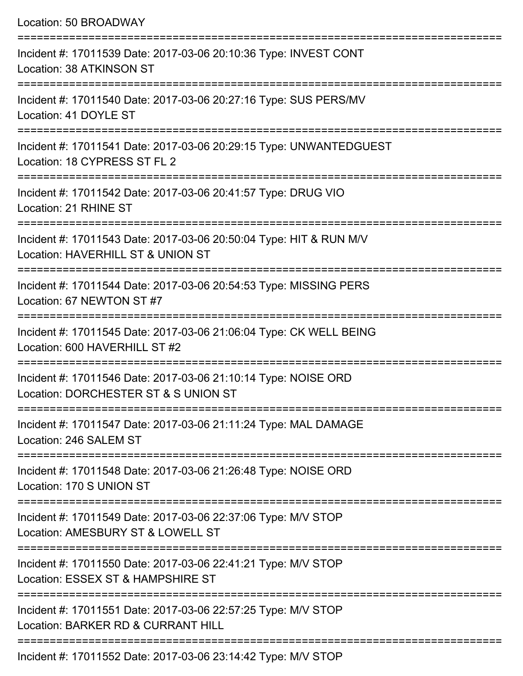| Location: 50 BROADWAY                                                                                                               |
|-------------------------------------------------------------------------------------------------------------------------------------|
| Incident #: 17011539 Date: 2017-03-06 20:10:36 Type: INVEST CONT<br>Location: 38 ATKINSON ST<br>;================================== |
| Incident #: 17011540 Date: 2017-03-06 20:27:16 Type: SUS PERS/MV<br>Location: 41 DOYLE ST                                           |
| Incident #: 17011541 Date: 2017-03-06 20:29:15 Type: UNWANTEDGUEST<br>Location: 18 CYPRESS ST FL 2                                  |
| Incident #: 17011542 Date: 2017-03-06 20:41:57 Type: DRUG VIO<br>Location: 21 RHINE ST                                              |
| Incident #: 17011543 Date: 2017-03-06 20:50:04 Type: HIT & RUN M/V<br>Location: HAVERHILL ST & UNION ST                             |
| Incident #: 17011544 Date: 2017-03-06 20:54:53 Type: MISSING PERS<br>Location: 67 NEWTON ST #7                                      |
| Incident #: 17011545 Date: 2017-03-06 21:06:04 Type: CK WELL BEING<br>Location: 600 HAVERHILL ST #2                                 |
| Incident #: 17011546 Date: 2017-03-06 21:10:14 Type: NOISE ORD<br>Location: DORCHESTER ST & S UNION ST                              |
| Incident #: 17011547 Date: 2017-03-06 21:11:24 Type: MAL DAMAGE<br>Location: 246 SALEM ST                                           |
| Incident #: 17011548 Date: 2017-03-06 21:26:48 Type: NOISE ORD<br>Location: 170 S UNION ST                                          |
| Incident #: 17011549 Date: 2017-03-06 22:37:06 Type: M/V STOP<br>Location: AMESBURY ST & LOWELL ST                                  |
| Incident #: 17011550 Date: 2017-03-06 22:41:21 Type: M/V STOP<br>Location: ESSEX ST & HAMPSHIRE ST                                  |
| Incident #: 17011551 Date: 2017-03-06 22:57:25 Type: M/V STOP<br>Location: BARKER RD & CURRANT HILL                                 |
|                                                                                                                                     |

Incident #: 17011552 Date: 2017-03-06 23:14:42 Type: M/V STOP